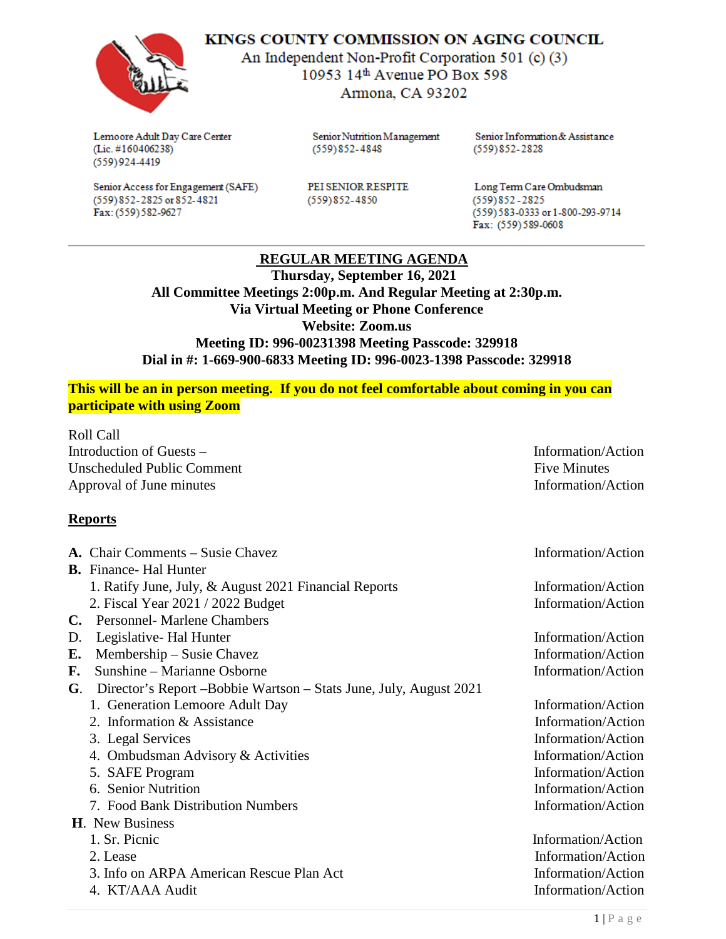

KINGS COUNTY COMMISSION ON AGING COUNCIL

An Independent Non-Profit Corporation 501 (c) (3) 10953 14th Avenue PO Box 598 Armona, CA 93202

Lemoore Adult Day Care Center (Lic. #160406238)  $(559)924-4419$ 

Senior Access for Engagement (SAFE) (559) 852-2825 or 852-4821 Fax: (559) 582-9627

Senior Nutrition Management  $(559)852 - 4848$ 

Senior Information & Assistance  $(559)852 - 2828$ 

PEI SENIOR RESPITE  $(559)852 - 4850$ 

Long Term Care Ombudsman  $(559)852 - 2825$ (559) 583-0333 or 1-800-293-9714 Fax: (559) 589-0608

## **REGULAR MEETING AGENDA**

 **Thursday, September 16, 2021 All Committee Meetings 2:00p.m. And Regular Meeting at 2:30p.m. Via Virtual Meeting or Phone Conference Website: Zoom.us Meeting ID: 996-00231398 Meeting Passcode: 329918 Dial in #: 1-669-900-6833 Meeting ID: 996-0023-1398 Passcode: 329918**

**This will be an in person meeting. If you do not feel comfortable about coming in you can participate with using Zoom**

Roll Call Introduction of Guests – Information/Action Unscheduled Public Comment **Five Minutes** Five Minutes Approval of June minutes Information/Action

## **Reports**

|    | A. Chair Comments – Susie Chavez                                 | Information/Action |
|----|------------------------------------------------------------------|--------------------|
|    | <b>B.</b> Finance- Hal Hunter                                    |                    |
|    | 1. Ratify June, July, & August 2021 Financial Reports            | Information/Action |
|    | 2. Fiscal Year 2021 / 2022 Budget                                | Information/Action |
| C. | <b>Personnel- Marlene Chambers</b>                               |                    |
| D. | Legislative- Hal Hunter                                          | Information/Action |
| Е. | Membership – Susie Chavez                                        | Information/Action |
| F. | Sunshine - Marianne Osborne                                      | Information/Action |
| G. | Director's Report-Bobbie Wartson – Stats June, July, August 2021 |                    |
|    | 1. Generation Lemoore Adult Day                                  | Information/Action |
|    | 2. Information & Assistance                                      | Information/Action |
|    | 3. Legal Services                                                | Information/Action |
|    | 4. Ombudsman Advisory & Activities                               | Information/Action |
|    | 5. SAFE Program                                                  | Information/Action |
|    | 6. Senior Nutrition                                              | Information/Action |
|    | 7. Food Bank Distribution Numbers                                | Information/Action |
|    | <b>H.</b> New Business                                           |                    |
|    | 1. Sr. Picnic                                                    | Information/Action |
|    | 2. Lease                                                         | Information/Action |
|    | 3. Info on ARPA American Rescue Plan Act                         | Information/Action |
|    | 4. KT/AAA Audit                                                  | Information/Action |